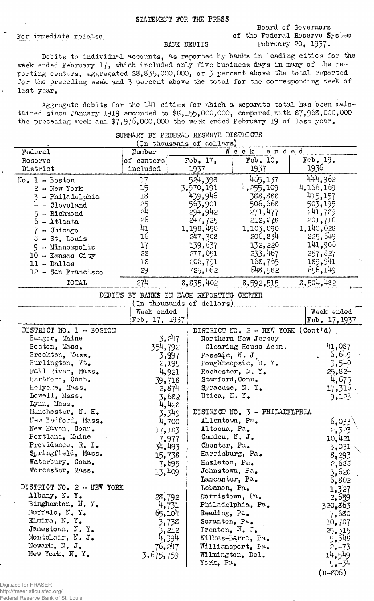## STATEMENT FOR THE PRESS

## For immediate release

 $\overline{1}$ 

## Board of Governors of the Federal Reserve System BANK DEBITS February 20, 1937.

Debits to individual accounts, as reported by banks in leading cities for the week ended February 17, which included only five business days in many of the reporting centers, aggregated \$8,835,000,000, or 3 percent above the total reported for the preceding week and 3 percent above the total for the corresponding week of last year.

Aggregate debits for the 141 cities for which a separate total has been maintained since January 1919 amounted to  $$8,155,000,000$ , compared with  $$7,968,000,000$ the preceding week and  $\frac{2}{7}$ ,976,000,000 the week ended February 19 of last year.

| (In thousands of dollars)<br>ended<br>Week<br>Federal<br>Number<br>Feb. 10,<br>Feb. 19,<br>Feb. $17.$<br>of centers<br>Reserve<br>1936<br>included<br>1937<br>District<br>1937<br>465,137<br>444,962<br>524,398<br>17<br>$No. 1 - Boston$<br>4,166,169<br>4, 255, 109<br>15<br>3,970,191<br>$2 - New York$<br>439,946<br>415,157<br>18<br>388,888<br>3 - Philadelphia<br>25<br>24<br>563,901<br>506,668<br>503,195<br>$4 - Cleveland$<br>294,942<br>271,477<br>241,789<br>$5 -$ Richmond<br>26<br>247,725<br>201,710<br>212,278<br>6 - Atlanta<br>41<br>1,140,028<br>1,198,450<br>1,103,090<br>- Chicago<br>7 <sup>1</sup><br>16<br>225,649<br>206,834<br>247,308<br>$8 - St.$ Louis<br>141,906<br>139,637<br>17<br>132,220<br>9<br>- Minneapolis<br>233,467<br>257,827<br>28<br>277,051<br>$10 -$ Kansas City<br>189,941<br>168,765<br>18<br>206,791<br>$11 - Dallas$<br>648,582<br>656,149<br>725,062<br>29<br>12 - San Francisco<br>8,554,482<br>274<br>8,835,402<br>TOTAL<br>8,592,515<br>DEBITS BY BANKS IN EACH REPORTING CENTER<br>(In thousands of dollars)<br>Week ended<br>Week ended<br>Feb. 17, 1937<br>Feb. 17, 1937<br>DISTRICT NO. 1 - BOSTON<br>DISTRICT NO. 2 - NEW YORK (Cont'd)<br>3,247<br>Bangor, Maine<br>Northern New Jersey<br>41,087<br>Boston, Mass.<br>354,792<br>Clearing House Assn.<br>.6,649<br>Brockton, Mass.<br>3,997<br>Passaic, N.J.<br>3,540<br>Burlington, Vt.<br>Poughheepsie, H. Y.<br>2,195<br>25,824<br>Fall River, Mass.<br>Rochester, N.Y.<br>4,921<br>Hartford, Conn.<br>4,675<br>Stamford, Conn.<br>39,718<br>Holyoke, Mass.<br>Syracuse, N.Y.<br>17,316<br>2,874<br>Lowell, Mass.<br>Utica, N.Y.<br>3,682<br>9,123<br>Lynn, Mass.<br>4,428<br>Manchester, N. H.<br>DISTRICT NO. 3 - PHILADELPHIA<br>3,349<br>New Bedford, Mass.<br>Allentown, Pa.<br>6,033<br>4,700<br>New Haven, Conn.<br>Altoona, Pa.<br>17,183<br>2,323<br>Portland, Maine<br>Canden, N. J.<br>10,421<br>7,977<br>Providence, R. I.<br>Choster, Pa.<br>34,493<br>3,031<br>Springfield, Mass.<br>Harrisburg, Pa.<br>15,738<br>8,293<br>Waterbury, Conn.<br>Haxleton, Pa.<br>7,695<br>2,683<br>Worcester, Mass.<br>Johnstown, Pa.<br>13,409<br>3,620<br>Lancaster, Pa.<br>6,802<br>DISTRICT NO. 2 - NEW YORK<br>Lebanon, Pa.<br>1,327<br>Albany, N.Y.<br>Norristown, Pa.<br>28,792<br>2,659<br>Binghamton, N.Y.<br>4,731<br>Philadelphia, Pa.<br>320,863<br>Buffalo, N.Y.<br>65,104<br>Reading, Pa.<br>. 7,680<br>Elmira, N.Y.<br>Scranton, Pa.<br>3,735<br>10,787 | SUMMARY BY FEDERAL RESERVE DISTRICTS |  |  |  |  |  |  |  |  |
|------------------------------------------------------------------------------------------------------------------------------------------------------------------------------------------------------------------------------------------------------------------------------------------------------------------------------------------------------------------------------------------------------------------------------------------------------------------------------------------------------------------------------------------------------------------------------------------------------------------------------------------------------------------------------------------------------------------------------------------------------------------------------------------------------------------------------------------------------------------------------------------------------------------------------------------------------------------------------------------------------------------------------------------------------------------------------------------------------------------------------------------------------------------------------------------------------------------------------------------------------------------------------------------------------------------------------------------------------------------------------------------------------------------------------------------------------------------------------------------------------------------------------------------------------------------------------------------------------------------------------------------------------------------------------------------------------------------------------------------------------------------------------------------------------------------------------------------------------------------------------------------------------------------------------------------------------------------------------------------------------------------------------------------------------------------------------------------------------------------------------------------------------------------------------------------------------------------------------------------------------------------------------------------------------------------------------------------------------------------------------------------------------------------------------------------------------------------------------------|--------------------------------------|--|--|--|--|--|--|--|--|
|                                                                                                                                                                                                                                                                                                                                                                                                                                                                                                                                                                                                                                                                                                                                                                                                                                                                                                                                                                                                                                                                                                                                                                                                                                                                                                                                                                                                                                                                                                                                                                                                                                                                                                                                                                                                                                                                                                                                                                                                                                                                                                                                                                                                                                                                                                                                                                                                                                                                                    |                                      |  |  |  |  |  |  |  |  |
|                                                                                                                                                                                                                                                                                                                                                                                                                                                                                                                                                                                                                                                                                                                                                                                                                                                                                                                                                                                                                                                                                                                                                                                                                                                                                                                                                                                                                                                                                                                                                                                                                                                                                                                                                                                                                                                                                                                                                                                                                                                                                                                                                                                                                                                                                                                                                                                                                                                                                    |                                      |  |  |  |  |  |  |  |  |
|                                                                                                                                                                                                                                                                                                                                                                                                                                                                                                                                                                                                                                                                                                                                                                                                                                                                                                                                                                                                                                                                                                                                                                                                                                                                                                                                                                                                                                                                                                                                                                                                                                                                                                                                                                                                                                                                                                                                                                                                                                                                                                                                                                                                                                                                                                                                                                                                                                                                                    |                                      |  |  |  |  |  |  |  |  |
|                                                                                                                                                                                                                                                                                                                                                                                                                                                                                                                                                                                                                                                                                                                                                                                                                                                                                                                                                                                                                                                                                                                                                                                                                                                                                                                                                                                                                                                                                                                                                                                                                                                                                                                                                                                                                                                                                                                                                                                                                                                                                                                                                                                                                                                                                                                                                                                                                                                                                    |                                      |  |  |  |  |  |  |  |  |
|                                                                                                                                                                                                                                                                                                                                                                                                                                                                                                                                                                                                                                                                                                                                                                                                                                                                                                                                                                                                                                                                                                                                                                                                                                                                                                                                                                                                                                                                                                                                                                                                                                                                                                                                                                                                                                                                                                                                                                                                                                                                                                                                                                                                                                                                                                                                                                                                                                                                                    |                                      |  |  |  |  |  |  |  |  |
|                                                                                                                                                                                                                                                                                                                                                                                                                                                                                                                                                                                                                                                                                                                                                                                                                                                                                                                                                                                                                                                                                                                                                                                                                                                                                                                                                                                                                                                                                                                                                                                                                                                                                                                                                                                                                                                                                                                                                                                                                                                                                                                                                                                                                                                                                                                                                                                                                                                                                    |                                      |  |  |  |  |  |  |  |  |
|                                                                                                                                                                                                                                                                                                                                                                                                                                                                                                                                                                                                                                                                                                                                                                                                                                                                                                                                                                                                                                                                                                                                                                                                                                                                                                                                                                                                                                                                                                                                                                                                                                                                                                                                                                                                                                                                                                                                                                                                                                                                                                                                                                                                                                                                                                                                                                                                                                                                                    |                                      |  |  |  |  |  |  |  |  |
|                                                                                                                                                                                                                                                                                                                                                                                                                                                                                                                                                                                                                                                                                                                                                                                                                                                                                                                                                                                                                                                                                                                                                                                                                                                                                                                                                                                                                                                                                                                                                                                                                                                                                                                                                                                                                                                                                                                                                                                                                                                                                                                                                                                                                                                                                                                                                                                                                                                                                    |                                      |  |  |  |  |  |  |  |  |
|                                                                                                                                                                                                                                                                                                                                                                                                                                                                                                                                                                                                                                                                                                                                                                                                                                                                                                                                                                                                                                                                                                                                                                                                                                                                                                                                                                                                                                                                                                                                                                                                                                                                                                                                                                                                                                                                                                                                                                                                                                                                                                                                                                                                                                                                                                                                                                                                                                                                                    |                                      |  |  |  |  |  |  |  |  |
|                                                                                                                                                                                                                                                                                                                                                                                                                                                                                                                                                                                                                                                                                                                                                                                                                                                                                                                                                                                                                                                                                                                                                                                                                                                                                                                                                                                                                                                                                                                                                                                                                                                                                                                                                                                                                                                                                                                                                                                                                                                                                                                                                                                                                                                                                                                                                                                                                                                                                    |                                      |  |  |  |  |  |  |  |  |
|                                                                                                                                                                                                                                                                                                                                                                                                                                                                                                                                                                                                                                                                                                                                                                                                                                                                                                                                                                                                                                                                                                                                                                                                                                                                                                                                                                                                                                                                                                                                                                                                                                                                                                                                                                                                                                                                                                                                                                                                                                                                                                                                                                                                                                                                                                                                                                                                                                                                                    |                                      |  |  |  |  |  |  |  |  |
|                                                                                                                                                                                                                                                                                                                                                                                                                                                                                                                                                                                                                                                                                                                                                                                                                                                                                                                                                                                                                                                                                                                                                                                                                                                                                                                                                                                                                                                                                                                                                                                                                                                                                                                                                                                                                                                                                                                                                                                                                                                                                                                                                                                                                                                                                                                                                                                                                                                                                    |                                      |  |  |  |  |  |  |  |  |
|                                                                                                                                                                                                                                                                                                                                                                                                                                                                                                                                                                                                                                                                                                                                                                                                                                                                                                                                                                                                                                                                                                                                                                                                                                                                                                                                                                                                                                                                                                                                                                                                                                                                                                                                                                                                                                                                                                                                                                                                                                                                                                                                                                                                                                                                                                                                                                                                                                                                                    |                                      |  |  |  |  |  |  |  |  |
|                                                                                                                                                                                                                                                                                                                                                                                                                                                                                                                                                                                                                                                                                                                                                                                                                                                                                                                                                                                                                                                                                                                                                                                                                                                                                                                                                                                                                                                                                                                                                                                                                                                                                                                                                                                                                                                                                                                                                                                                                                                                                                                                                                                                                                                                                                                                                                                                                                                                                    |                                      |  |  |  |  |  |  |  |  |
|                                                                                                                                                                                                                                                                                                                                                                                                                                                                                                                                                                                                                                                                                                                                                                                                                                                                                                                                                                                                                                                                                                                                                                                                                                                                                                                                                                                                                                                                                                                                                                                                                                                                                                                                                                                                                                                                                                                                                                                                                                                                                                                                                                                                                                                                                                                                                                                                                                                                                    |                                      |  |  |  |  |  |  |  |  |
|                                                                                                                                                                                                                                                                                                                                                                                                                                                                                                                                                                                                                                                                                                                                                                                                                                                                                                                                                                                                                                                                                                                                                                                                                                                                                                                                                                                                                                                                                                                                                                                                                                                                                                                                                                                                                                                                                                                                                                                                                                                                                                                                                                                                                                                                                                                                                                                                                                                                                    |                                      |  |  |  |  |  |  |  |  |
|                                                                                                                                                                                                                                                                                                                                                                                                                                                                                                                                                                                                                                                                                                                                                                                                                                                                                                                                                                                                                                                                                                                                                                                                                                                                                                                                                                                                                                                                                                                                                                                                                                                                                                                                                                                                                                                                                                                                                                                                                                                                                                                                                                                                                                                                                                                                                                                                                                                                                    |                                      |  |  |  |  |  |  |  |  |
|                                                                                                                                                                                                                                                                                                                                                                                                                                                                                                                                                                                                                                                                                                                                                                                                                                                                                                                                                                                                                                                                                                                                                                                                                                                                                                                                                                                                                                                                                                                                                                                                                                                                                                                                                                                                                                                                                                                                                                                                                                                                                                                                                                                                                                                                                                                                                                                                                                                                                    |                                      |  |  |  |  |  |  |  |  |
|                                                                                                                                                                                                                                                                                                                                                                                                                                                                                                                                                                                                                                                                                                                                                                                                                                                                                                                                                                                                                                                                                                                                                                                                                                                                                                                                                                                                                                                                                                                                                                                                                                                                                                                                                                                                                                                                                                                                                                                                                                                                                                                                                                                                                                                                                                                                                                                                                                                                                    |                                      |  |  |  |  |  |  |  |  |
|                                                                                                                                                                                                                                                                                                                                                                                                                                                                                                                                                                                                                                                                                                                                                                                                                                                                                                                                                                                                                                                                                                                                                                                                                                                                                                                                                                                                                                                                                                                                                                                                                                                                                                                                                                                                                                                                                                                                                                                                                                                                                                                                                                                                                                                                                                                                                                                                                                                                                    |                                      |  |  |  |  |  |  |  |  |
|                                                                                                                                                                                                                                                                                                                                                                                                                                                                                                                                                                                                                                                                                                                                                                                                                                                                                                                                                                                                                                                                                                                                                                                                                                                                                                                                                                                                                                                                                                                                                                                                                                                                                                                                                                                                                                                                                                                                                                                                                                                                                                                                                                                                                                                                                                                                                                                                                                                                                    |                                      |  |  |  |  |  |  |  |  |
|                                                                                                                                                                                                                                                                                                                                                                                                                                                                                                                                                                                                                                                                                                                                                                                                                                                                                                                                                                                                                                                                                                                                                                                                                                                                                                                                                                                                                                                                                                                                                                                                                                                                                                                                                                                                                                                                                                                                                                                                                                                                                                                                                                                                                                                                                                                                                                                                                                                                                    |                                      |  |  |  |  |  |  |  |  |
|                                                                                                                                                                                                                                                                                                                                                                                                                                                                                                                                                                                                                                                                                                                                                                                                                                                                                                                                                                                                                                                                                                                                                                                                                                                                                                                                                                                                                                                                                                                                                                                                                                                                                                                                                                                                                                                                                                                                                                                                                                                                                                                                                                                                                                                                                                                                                                                                                                                                                    |                                      |  |  |  |  |  |  |  |  |
|                                                                                                                                                                                                                                                                                                                                                                                                                                                                                                                                                                                                                                                                                                                                                                                                                                                                                                                                                                                                                                                                                                                                                                                                                                                                                                                                                                                                                                                                                                                                                                                                                                                                                                                                                                                                                                                                                                                                                                                                                                                                                                                                                                                                                                                                                                                                                                                                                                                                                    |                                      |  |  |  |  |  |  |  |  |
|                                                                                                                                                                                                                                                                                                                                                                                                                                                                                                                                                                                                                                                                                                                                                                                                                                                                                                                                                                                                                                                                                                                                                                                                                                                                                                                                                                                                                                                                                                                                                                                                                                                                                                                                                                                                                                                                                                                                                                                                                                                                                                                                                                                                                                                                                                                                                                                                                                                                                    |                                      |  |  |  |  |  |  |  |  |
|                                                                                                                                                                                                                                                                                                                                                                                                                                                                                                                                                                                                                                                                                                                                                                                                                                                                                                                                                                                                                                                                                                                                                                                                                                                                                                                                                                                                                                                                                                                                                                                                                                                                                                                                                                                                                                                                                                                                                                                                                                                                                                                                                                                                                                                                                                                                                                                                                                                                                    |                                      |  |  |  |  |  |  |  |  |
|                                                                                                                                                                                                                                                                                                                                                                                                                                                                                                                                                                                                                                                                                                                                                                                                                                                                                                                                                                                                                                                                                                                                                                                                                                                                                                                                                                                                                                                                                                                                                                                                                                                                                                                                                                                                                                                                                                                                                                                                                                                                                                                                                                                                                                                                                                                                                                                                                                                                                    |                                      |  |  |  |  |  |  |  |  |
|                                                                                                                                                                                                                                                                                                                                                                                                                                                                                                                                                                                                                                                                                                                                                                                                                                                                                                                                                                                                                                                                                                                                                                                                                                                                                                                                                                                                                                                                                                                                                                                                                                                                                                                                                                                                                                                                                                                                                                                                                                                                                                                                                                                                                                                                                                                                                                                                                                                                                    |                                      |  |  |  |  |  |  |  |  |
|                                                                                                                                                                                                                                                                                                                                                                                                                                                                                                                                                                                                                                                                                                                                                                                                                                                                                                                                                                                                                                                                                                                                                                                                                                                                                                                                                                                                                                                                                                                                                                                                                                                                                                                                                                                                                                                                                                                                                                                                                                                                                                                                                                                                                                                                                                                                                                                                                                                                                    |                                      |  |  |  |  |  |  |  |  |
|                                                                                                                                                                                                                                                                                                                                                                                                                                                                                                                                                                                                                                                                                                                                                                                                                                                                                                                                                                                                                                                                                                                                                                                                                                                                                                                                                                                                                                                                                                                                                                                                                                                                                                                                                                                                                                                                                                                                                                                                                                                                                                                                                                                                                                                                                                                                                                                                                                                                                    |                                      |  |  |  |  |  |  |  |  |
|                                                                                                                                                                                                                                                                                                                                                                                                                                                                                                                                                                                                                                                                                                                                                                                                                                                                                                                                                                                                                                                                                                                                                                                                                                                                                                                                                                                                                                                                                                                                                                                                                                                                                                                                                                                                                                                                                                                                                                                                                                                                                                                                                                                                                                                                                                                                                                                                                                                                                    |                                      |  |  |  |  |  |  |  |  |
|                                                                                                                                                                                                                                                                                                                                                                                                                                                                                                                                                                                                                                                                                                                                                                                                                                                                                                                                                                                                                                                                                                                                                                                                                                                                                                                                                                                                                                                                                                                                                                                                                                                                                                                                                                                                                                                                                                                                                                                                                                                                                                                                                                                                                                                                                                                                                                                                                                                                                    |                                      |  |  |  |  |  |  |  |  |
|                                                                                                                                                                                                                                                                                                                                                                                                                                                                                                                                                                                                                                                                                                                                                                                                                                                                                                                                                                                                                                                                                                                                                                                                                                                                                                                                                                                                                                                                                                                                                                                                                                                                                                                                                                                                                                                                                                                                                                                                                                                                                                                                                                                                                                                                                                                                                                                                                                                                                    |                                      |  |  |  |  |  |  |  |  |
|                                                                                                                                                                                                                                                                                                                                                                                                                                                                                                                                                                                                                                                                                                                                                                                                                                                                                                                                                                                                                                                                                                                                                                                                                                                                                                                                                                                                                                                                                                                                                                                                                                                                                                                                                                                                                                                                                                                                                                                                                                                                                                                                                                                                                                                                                                                                                                                                                                                                                    |                                      |  |  |  |  |  |  |  |  |
|                                                                                                                                                                                                                                                                                                                                                                                                                                                                                                                                                                                                                                                                                                                                                                                                                                                                                                                                                                                                                                                                                                                                                                                                                                                                                                                                                                                                                                                                                                                                                                                                                                                                                                                                                                                                                                                                                                                                                                                                                                                                                                                                                                                                                                                                                                                                                                                                                                                                                    |                                      |  |  |  |  |  |  |  |  |
|                                                                                                                                                                                                                                                                                                                                                                                                                                                                                                                                                                                                                                                                                                                                                                                                                                                                                                                                                                                                                                                                                                                                                                                                                                                                                                                                                                                                                                                                                                                                                                                                                                                                                                                                                                                                                                                                                                                                                                                                                                                                                                                                                                                                                                                                                                                                                                                                                                                                                    |                                      |  |  |  |  |  |  |  |  |
|                                                                                                                                                                                                                                                                                                                                                                                                                                                                                                                                                                                                                                                                                                                                                                                                                                                                                                                                                                                                                                                                                                                                                                                                                                                                                                                                                                                                                                                                                                                                                                                                                                                                                                                                                                                                                                                                                                                                                                                                                                                                                                                                                                                                                                                                                                                                                                                                                                                                                    |                                      |  |  |  |  |  |  |  |  |
|                                                                                                                                                                                                                                                                                                                                                                                                                                                                                                                                                                                                                                                                                                                                                                                                                                                                                                                                                                                                                                                                                                                                                                                                                                                                                                                                                                                                                                                                                                                                                                                                                                                                                                                                                                                                                                                                                                                                                                                                                                                                                                                                                                                                                                                                                                                                                                                                                                                                                    |                                      |  |  |  |  |  |  |  |  |
|                                                                                                                                                                                                                                                                                                                                                                                                                                                                                                                                                                                                                                                                                                                                                                                                                                                                                                                                                                                                                                                                                                                                                                                                                                                                                                                                                                                                                                                                                                                                                                                                                                                                                                                                                                                                                                                                                                                                                                                                                                                                                                                                                                                                                                                                                                                                                                                                                                                                                    |                                      |  |  |  |  |  |  |  |  |
|                                                                                                                                                                                                                                                                                                                                                                                                                                                                                                                                                                                                                                                                                                                                                                                                                                                                                                                                                                                                                                                                                                                                                                                                                                                                                                                                                                                                                                                                                                                                                                                                                                                                                                                                                                                                                                                                                                                                                                                                                                                                                                                                                                                                                                                                                                                                                                                                                                                                                    |                                      |  |  |  |  |  |  |  |  |
|                                                                                                                                                                                                                                                                                                                                                                                                                                                                                                                                                                                                                                                                                                                                                                                                                                                                                                                                                                                                                                                                                                                                                                                                                                                                                                                                                                                                                                                                                                                                                                                                                                                                                                                                                                                                                                                                                                                                                                                                                                                                                                                                                                                                                                                                                                                                                                                                                                                                                    |                                      |  |  |  |  |  |  |  |  |
|                                                                                                                                                                                                                                                                                                                                                                                                                                                                                                                                                                                                                                                                                                                                                                                                                                                                                                                                                                                                                                                                                                                                                                                                                                                                                                                                                                                                                                                                                                                                                                                                                                                                                                                                                                                                                                                                                                                                                                                                                                                                                                                                                                                                                                                                                                                                                                                                                                                                                    |                                      |  |  |  |  |  |  |  |  |
|                                                                                                                                                                                                                                                                                                                                                                                                                                                                                                                                                                                                                                                                                                                                                                                                                                                                                                                                                                                                                                                                                                                                                                                                                                                                                                                                                                                                                                                                                                                                                                                                                                                                                                                                                                                                                                                                                                                                                                                                                                                                                                                                                                                                                                                                                                                                                                                                                                                                                    |                                      |  |  |  |  |  |  |  |  |
|                                                                                                                                                                                                                                                                                                                                                                                                                                                                                                                                                                                                                                                                                                                                                                                                                                                                                                                                                                                                                                                                                                                                                                                                                                                                                                                                                                                                                                                                                                                                                                                                                                                                                                                                                                                                                                                                                                                                                                                                                                                                                                                                                                                                                                                                                                                                                                                                                                                                                    |                                      |  |  |  |  |  |  |  |  |
| Jamestown, N.Y.<br>Trenton, $N_{\bullet}$ J.<br>3,212<br>25,315                                                                                                                                                                                                                                                                                                                                                                                                                                                                                                                                                                                                                                                                                                                                                                                                                                                                                                                                                                                                                                                                                                                                                                                                                                                                                                                                                                                                                                                                                                                                                                                                                                                                                                                                                                                                                                                                                                                                                                                                                                                                                                                                                                                                                                                                                                                                                                                                                    |                                      |  |  |  |  |  |  |  |  |
| Montclair, N. J.<br>4,394<br>Wilkes-Barre, Pa.<br>5,648                                                                                                                                                                                                                                                                                                                                                                                                                                                                                                                                                                                                                                                                                                                                                                                                                                                                                                                                                                                                                                                                                                                                                                                                                                                                                                                                                                                                                                                                                                                                                                                                                                                                                                                                                                                                                                                                                                                                                                                                                                                                                                                                                                                                                                                                                                                                                                                                                            |                                      |  |  |  |  |  |  |  |  |
| Newark, N. J.<br>76,247<br>2,473<br>Williamsport, Pa.                                                                                                                                                                                                                                                                                                                                                                                                                                                                                                                                                                                                                                                                                                                                                                                                                                                                                                                                                                                                                                                                                                                                                                                                                                                                                                                                                                                                                                                                                                                                                                                                                                                                                                                                                                                                                                                                                                                                                                                                                                                                                                                                                                                                                                                                                                                                                                                                                              |                                      |  |  |  |  |  |  |  |  |
| New York, N.Y.<br>14,549<br>3,675,759<br>Wilmington, Del.                                                                                                                                                                                                                                                                                                                                                                                                                                                                                                                                                                                                                                                                                                                                                                                                                                                                                                                                                                                                                                                                                                                                                                                                                                                                                                                                                                                                                                                                                                                                                                                                                                                                                                                                                                                                                                                                                                                                                                                                                                                                                                                                                                                                                                                                                                                                                                                                                          |                                      |  |  |  |  |  |  |  |  |
| 5.434<br>York, Pa.                                                                                                                                                                                                                                                                                                                                                                                                                                                                                                                                                                                                                                                                                                                                                                                                                                                                                                                                                                                                                                                                                                                                                                                                                                                                                                                                                                                                                                                                                                                                                                                                                                                                                                                                                                                                                                                                                                                                                                                                                                                                                                                                                                                                                                                                                                                                                                                                                                                                 |                                      |  |  |  |  |  |  |  |  |
| $(B-806)$                                                                                                                                                                                                                                                                                                                                                                                                                                                                                                                                                                                                                                                                                                                                                                                                                                                                                                                                                                                                                                                                                                                                                                                                                                                                                                                                                                                                                                                                                                                                                                                                                                                                                                                                                                                                                                                                                                                                                                                                                                                                                                                                                                                                                                                                                                                                                                                                                                                                          |                                      |  |  |  |  |  |  |  |  |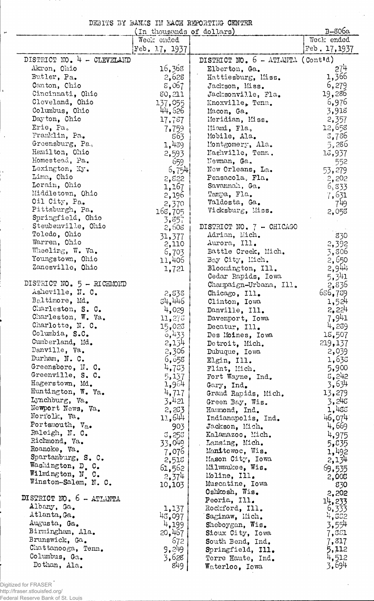DEBITS BY BANKS IH EACH REPORTING CENTER

 $\label{eq:2} \frac{1}{2} \int_{\mathbb{R}^3} \frac{d\mu}{\mu} \left( \frac{d\mu}{\mu} \right)^2 \frac{d\mu}{\mu} \frac{d\mu}{\mu} \, d\mu$ 

 $\bar{r}$ 

|                                      | In thousands of dollars) |                                   | B-806a              |
|--------------------------------------|--------------------------|-----------------------------------|---------------------|
|                                      | Week ended               |                                   | Week ended          |
|                                      | $Feb$ , 17, 1937         |                                   | Feb. 17, 1937       |
| DISTRICT NO. 4 - CLEVELAND           |                          | DISTRICT NO. 6 - ATIANTA (Cont'd) |                     |
| Akron, Ohio                          | 16,368                   | Elberton, Ga.                     | 27 <sup>1</sup>     |
| Butler, Pa.                          | 2,628                    | Hattiesburg, Miss.                | 1,366               |
| Canton, Chio                         | 8,067                    | Jackson, Miss.                    | 6,279               |
| Cincinnati, Ohio                     | 80,211                   | Jacksonville, Fla.                | 19,286              |
| Cleveland, Ohio                      | 137,055                  | Knoxville, Tenn.                  | 6,976               |
| Columbus, Ohio                       | 44,526                   | Macon, Ga.                        | 3,918               |
| Dayton, Chio                         | 17,787                   | Meridian, Miss.                   | 2,357               |
| Erie, Pa.                            |                          | Miami, Fla,                       | 12,658              |
| Franklin, Pa.                        | 7,759<br>863             | Mobile, Ala.                      | 3,786               |
| Greensburg, Pa.                      |                          |                                   | 5,286               |
| Hamilton, Ohio                       | 1,439                    | Montgomery, Ala.                  |                     |
| Homestead, Pa.                       | 2,593                    | Nashville, Tenn.                  | 13,937              |
| Lexington, Ky.                       | 659                      | Newnan, Ga.                       | 552                 |
| Lima, Ohio                           | [6, 754]                 | New Orleans, La.                  | 53,279              |
| Lorain, Ohio                         | 2,822                    | Pensacola, Fla.                   | $-2,202$            |
|                                      | 1,167                    | Savannah, Ga.                     | 6,833               |
| Middletown, Ohio                     | 2,196                    | Tampa, Fla.                       | 7,631               |
| Oil City, Pa.                        | 2,370                    | Valdosta, Ga.                     | 749                 |
| Pittsburgh, Pa.<br>Springfield, Ohio | 168,705                  | Vicksburg, Miss.                  | 2,053               |
|                                      | 3,857                    |                                   |                     |
| Steubenville, Ohio                   | 2,608                    | DISTRICT NO. 7 - CHICAGO          |                     |
| Toledo, Ohio<br>Warren, Ohio         | 31,377                   | Adrian, Mich.                     | 830                 |
|                                      | 2,110                    | Aurora, Ill.                      | 2,392               |
| Wheeling, W. Va.                     | 6,703                    | Battle Creek, Mich.               | 3,806               |
| Youngstown, Ohio                     | 11,406                   | Bay City, Mich.                   | 2,650               |
| Zanesville, Ohio                     | 1,721                    | Bloomington, Ill.                 | $2,9$ <sup>44</sup> |
|                                      |                          | Cedar Rapids, Iowa                | 5,341               |
| DISTRICT NO. 5 - RICHMOND            |                          | Champaign-Urbana, Ill.            | 2,836               |
| Asheville, N. C.                     | 2,838                    | Chicago, Ill.                     | 656,759             |
| Baltimore, Md.                       | 34,446                   | Clinton, Iowa                     | 1,524               |
| Charleston, S. C.                    | 4,029                    | Danville, Ill.                    | 2,224               |
| Charleston, W. Va.                   | 11,275                   | Davenport, Iowa                   | 7,941               |
| Charlotte, N. C.                     | 15,023                   | Decatur, Ill.                     | 4,239               |
| Columbia, S.C.                       | 6,433                    | Des Moines, Iowa                  | 18,507              |
| Cumberland, Md.                      | 2,134                    | Detroit, Mich.                    | 219,137             |
| Danville, Va.                        | 2,306                    | Dubuque, Iowa                     | 2,039               |
| Durham, N. C.                        | 6,655                    | Elgin, Ill.                       | 1,638               |
| Greensboro, N. C.                    | 4,73                     | Flint, Mich.                      | 5,900               |
| Greenville, S. C.                    | 5,137                    | Fort Wayne, Ind.                  | 5,242               |
| Hagerstown, Md.                      | 1,964                    | Gary, Ind.                        | 3,634               |
| Huntington, W. Va.                   | 4,717                    | Grand Rapids, Mich.               | 13,279              |
| Lynchburg, Va.                       | 3.421                    | Green Bay, Wis.                   | 3,245               |
| Newport News, Va.                    | 2,263                    | Hammond, Ind.                     | 1,455               |
| Noriolk, Va.                         | 11,644                   | Indianapolis, Ind.                | 46,074              |
| Portsmouth, Va.                      | 903                      | Jackson, Mich.                    | 4,669               |
| Raleigh, N. C.                       | 3,253                    | Kalamazoo, Mich.                  | 4,975               |
| Richmond, Va.                        | 33,049                   | Lansing, Mich.                    | 5,835               |
| Roanoke, Va.                         | 7,076                    | Manitowoc, Wis.                   | 1,492               |
| Spartanburg, S. C.                   | 2,518                    | Mason City, Iowa                  | 2,134               |
| Washington, D. C.                    | 61,562                   | Milwaukee, Wis.                   | 69,535              |
| Wilmington, N. C.                    | 2,374                    | Moline, Ill.                      | 2,005               |
| Winston-Salem, N. C.                 | 10,103                   | Muscatine, Iowa                   | 830                 |
|                                      |                          | Oshkosh, Wis.                     | 2,202               |
| DISTRICT NO. 6 - ATLANTA             |                          | Peoria, Ill.                      | 14,233              |
| Albany, Ga.                          | 1,137                    | Rockford, Ill.                    | $\frac{6}{333}$     |
| Atlanta, Ga.                         | 48,097                   | Saginaw, Mich.                    | 4,882               |
| Augusta, Ga.                         | 4,199                    | Sheboygan, Wis.                   | 3,554               |
| Birmingham, Ala.                     | 20,467                   | Sioux City, Iowa                  | 7,881               |
| Brunswick, Ga.                       | 672                      | South Bend, Ind.                  | 7,317               |
| Chattanooga, Tenn.                   | 9,249                    | Springfield, Ill.                 | 5,112               |
| Columbus, Ga.                        | 3,628                    | Terre Haute, Ind.                 | 4,512               |
| Dothan, Ala.                         | 849                      | Waterloo. Iowa                    | 3,694               |

Digitized for FRASER

 $\ddot{\phantom{1}}$ 

 $\ddot{\phantom{a}}$ 

 $\frac{1}{1}$ 

http://fraser.stlouisfed.org/ Federal Reserve Bank of St. Louis